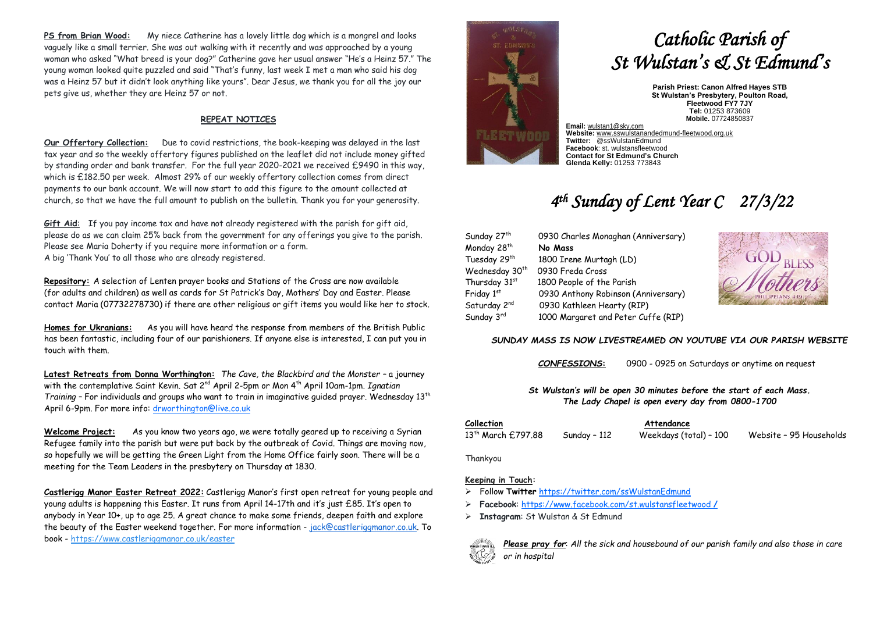**PS from Brian Wood:** My niece Catherine has a lovely little dog which is a mongrel and looks vaguely like a small terrier. She was out walking with it recently and was approached by a young woman who asked "What breed is your dog?" Catherine gave her usual answer "He's a Heinz 57." The NGELIyoung woman looked quite puzzled and said "That's funny, last week I met a man who said his dog was a Heinz 57 but it didn't look anything like yours". Dear Jesus, we thank you for all the joy our pets give us, whether they are Heinz 57 or not.

## **REPEAT NOTICES**

**Our Offertory Collection:** Due to covid restrictions, the book-keeping was delayed in the last tax year and so the weekly offertory figures published on the leaflet did not include money gifted by standing order and bank transfer. For the full year 2020-2021 we received £9490 in this way, which is £182.50 per week. Almost 29% of our weekly offertory collection comes from direct payments to our bank account. We will now start to add this figure to the amount collected at church, so that we have the full amount to publish on the bulletin. Thank you for your generosity.

**Gift Aid**: If you pay income tax and have not already registered with the parish for gift aid, please do as we can claim 25% back from the government for any offerings you give to the parish. Please see Maria Doherty if you require more information or a form. A big 'Thank You' to all those who are already registered.

**Repository:** A selection of Lenten prayer books and Stations of the Cross are now available (for adults and children) as well as cards for St Patrick's Day, Mothers' Day and Easter. Please contact Maria (07732278730) if there are other religious or gift items you would like her to stock.

**Homes for Ukranians:** As you will have heard the response from members of the British Public has been fantastic, including four of our parishioners. If anyone else is interested, I can put you in touch with them.

**Latest Retreats from Donna Worthington:** *The Cave, the Blackbird and the Monster –* a journey with the contemplative Saint Kevin. Sat 2<sup>nd</sup> April 2-5pm or Mon 4<sup>th</sup> April 10am-1pm. *Ignatian Training –* For individuals and groups who want to train in imaginative guided prayer. Wednesday 13th April 6-9pm. For more info: [drworthington@live.co.uk](mailto:drworthington@live.co.uk)

**Welcome Project:** As you know two years ago, we were totally geared up to receiving a Syrian Refugee family into the parish but were put back by the outbreak of Covid. Things are moving now, so hopefully we will be getting the Green Light from the Home Office fairly soon. There will be a meeting for the Team Leaders in the presbytery on Thursday at 1830.

**Castlerigg Manor Easter Retreat 2022:** Castlerigg Manor's first open retreat for young people and young adults is happening this Easter. It runs from April 14-17th and it's just £85. It's open to anybody in Year 10+, up to age 25. A great chance to make some friends, deepen faith and explore the beauty of the Easter weekend together. For more information - [jack@castleriggmanor.co.uk.](mailto:jack@castleriggmanor.co.uk) To book - <https://www.castleriggmanor.co.uk/easter>



# *Catholic Parish of St Wulstan's & St Edmund's*

**Parish Priest: Canon Alfred Hayes STB St Wulstan's Presbytery, Poulton Road, Fleetwood FY7 7JY Tel:** 01253 873609 **Mobile.** 07724850837

**Email:** [wulstan1@sky.com](mailto:wulstan1@sky.com) **Website:** [www.sswulstanandedmund-fleetwood.org.uk](http://www.sswulstanandedmund-fleetwood.org.uk/) **Twitter:** @ssWulstanEdmund **Facebook**: st. wulstansfleetwood **Contact for St Edmund's Church Glenda Kelly:** 01253 773843

# *4 th Sunday of Lent Year C 27/3/22*

| Sunday 27 <sup>th</sup>    | 0930 Charles Monaghan (Anniversary) |
|----------------------------|-------------------------------------|
| Monday 28th                | No Mass                             |
| Tuesday 29th               | 1800 Irene Murtagh (LD)             |
| Wednesday 30 <sup>th</sup> | 0930 Freda Cross                    |
| Thursday 31st              | 1800 People of the Parish           |
| Friday 1st                 | 0930 Anthony Robinson (Anniversary) |
| Saturday 2 <sup>nd</sup>   | 0930 Kathleen Hearty (RIP)          |
| Sunday 3rd                 | 1000 Margaret and Peter Cuffe (RIP) |



#### *SUNDAY MASS IS NOW LIVESTREAMED ON YOUTUBE VIA OUR PARISH WEBSITE*

*CONFESSIONS***:** 0900 - 0925 on Saturdays or anytime on request

#### *St Wulstan's will be open 30 minutes before the start of each Mass. The Lady Chapel is open every day from 0800-1700*

| Collection         |              | Attendance             |                         |
|--------------------|--------------|------------------------|-------------------------|
| 13th March £797.88 | Sunday - 112 | Weekdays (total) - 100 | Website - 95 Households |

Thankyou

### **Keeping in Touch:**

- ➢ Follow **Twitter** <https://twitter.com/ssWulstanEdmund>
- ➢ **Facebook**: https://www.facebook.com/st.wulstansfleetwood **/**
- ➢ **Instagram**: St Wulstan & St Edmund



*Please pray for*: *All the sick and housebound of our parish family and also those in care or in hospital*